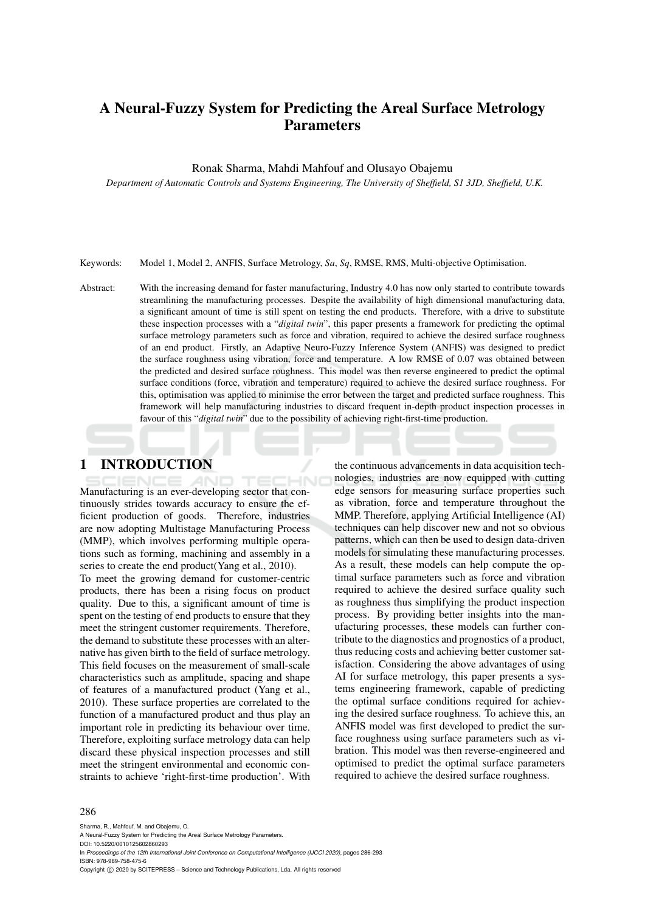# A Neural-Fuzzy System for Predicting the Areal Surface Metrology **Parameters**

#### Ronak Sharma, Mahdi Mahfouf and Olusayo Obajemu

*Department of Automatic Controls and Systems Engineering, The University of Sheffield, S1 3JD, Sheffield, U.K.*

Keywords: Model 1, Model 2, ANFIS, Surface Metrology, *Sa*, *Sq*, RMSE, RMS, Multi-objective Optimisation.

Abstract: With the increasing demand for faster manufacturing, Industry 4.0 has now only started to contribute towards streamlining the manufacturing processes. Despite the availability of high dimensional manufacturing data, a significant amount of time is still spent on testing the end products. Therefore, with a drive to substitute these inspection processes with a "*digital twin*", this paper presents a framework for predicting the optimal surface metrology parameters such as force and vibration, required to achieve the desired surface roughness of an end product. Firstly, an Adaptive Neuro-Fuzzy Inference System (ANFIS) was designed to predict the surface roughness using vibration, force and temperature. A low RMSE of 0.07 was obtained between the predicted and desired surface roughness. This model was then reverse engineered to predict the optimal surface conditions (force, vibration and temperature) required to achieve the desired surface roughness. For this, optimisation was applied to minimise the error between the target and predicted surface roughness. This framework will help manufacturing industries to discard frequent in-depth product inspection processes in favour of this "*digital twin*" due to the possibility of achieving right-first-time production.

### 1 INTRODUCTION

Manufacturing is an ever-developing sector that continuously strides towards accuracy to ensure the efficient production of goods. Therefore, industries are now adopting Multistage Manufacturing Process (MMP), which involves performing multiple operations such as forming, machining and assembly in a series to create the end product(Yang et al., 2010).

To meet the growing demand for customer-centric products, there has been a rising focus on product quality. Due to this, a significant amount of time is spent on the testing of end products to ensure that they meet the stringent customer requirements. Therefore, the demand to substitute these processes with an alternative has given birth to the field of surface metrology. This field focuses on the measurement of small-scale characteristics such as amplitude, spacing and shape of features of a manufactured product (Yang et al., 2010). These surface properties are correlated to the function of a manufactured product and thus play an important role in predicting its behaviour over time. Therefore, exploiting surface metrology data can help discard these physical inspection processes and still meet the stringent environmental and economic constraints to achieve 'right-first-time production'. With

the continuous advancements in data acquisition technologies, industries are now equipped with cutting edge sensors for measuring surface properties such as vibration, force and temperature throughout the MMP. Therefore, applying Artificial Intelligence (AI) techniques can help discover new and not so obvious patterns, which can then be used to design data-driven models for simulating these manufacturing processes. As a result, these models can help compute the optimal surface parameters such as force and vibration required to achieve the desired surface quality such as roughness thus simplifying the product inspection process. By providing better insights into the manufacturing processes, these models can further contribute to the diagnostics and prognostics of a product, thus reducing costs and achieving better customer satisfaction. Considering the above advantages of using AI for surface metrology, this paper presents a systems engineering framework, capable of predicting the optimal surface conditions required for achieving the desired surface roughness. To achieve this, an ANFIS model was first developed to predict the surface roughness using surface parameters such as vibration. This model was then reverse-engineered and optimised to predict the optimal surface parameters required to achieve the desired surface roughness.

#### 286

Sharma, R., Mahfouf, M. and Obajemu, O. A Neural-Fuzzy System for Predicting the Areal Surface Metrology Parameters. DOI: 10.5220/0010125602860293 In *Proceedings of the 12th International Joint Conference on Computational Intelligence (IJCCI 2020)*, pages 286-293 ISBN: 978-989-758-475-6 Copyright © 2020 by SCITEPRESS - Science and Technology Publications, Lda. All rights reserved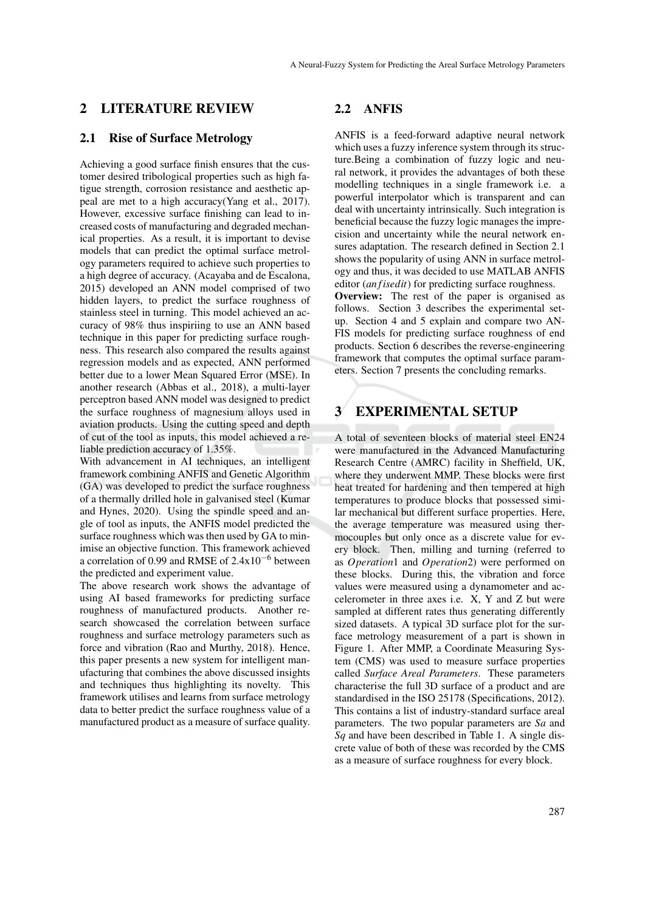### 2 LITERATURE REVIEW

### 2.1 Rise of Surface Metrology

Achieving a good surface finish ensures that the customer desired tribological properties such as high fatigue strength, corrosion resistance and aesthetic appeal are met to a high accuracy(Yang et al., 2017). However, excessive surface finishing can lead to increased costs of manufacturing and degraded mechanical properties. As a result, it is important to devise models that can predict the optimal surface metrology parameters required to achieve such properties to a high degree of accuracy. (Acayaba and de Escalona, 2015) developed an ANN model comprised of two hidden layers, to predict the surface roughness of stainless steel in turning. This model achieved an accuracy of 98% thus inspiriing to use an ANN based technique in this paper for predicting surface roughness. This research also compared the results against regression models and as expected, ANN performed better due to a lower Mean Squared Error (MSE). In another research (Abbas et al., 2018), a multi-layer perceptron based ANN model was designed to predict the surface roughness of magnesium alloys used in aviation products. Using the cutting speed and depth of cut of the tool as inputs, this model achieved a reliable prediction accuracy of 1.35%.

With advancement in AI techniques, an intelligent framework combining ANFIS and Genetic Algorithm (GA) was developed to predict the surface roughness of a thermally drilled hole in galvanised steel (Kumar and Hynes, 2020). Using the spindle speed and angle of tool as inputs, the ANFIS model predicted the surface roughness which was then used by GA to minimise an objective function. This framework achieved a correlation of 0.99 and RMSE of 2.4x10−<sup>6</sup> between the predicted and experiment value.

The above research work shows the advantage of using AI based frameworks for predicting surface roughness of manufactured products. Another research showcased the correlation between surface roughness and surface metrology parameters such as force and vibration (Rao and Murthy, 2018). Hence, this paper presents a new system for intelligent manufacturing that combines the above discussed insights and techniques thus highlighting its novelty. This framework utilises and learns from surface metrology data to better predict the surface roughness value of a manufactured product as a measure of surface quality.

#### 2.2 ANFIS

ANFIS is a feed-forward adaptive neural network which uses a fuzzy inference system through its structure.Being a combination of fuzzy logic and neural network, it provides the advantages of both these modelling techniques in a single framework i.e. a powerful interpolator which is transparent and can deal with uncertainty intrinsically. Such integration is beneficial because the fuzzy logic manages the imprecision and uncertainty while the neural network ensures adaptation. The research defined in Section 2.1 shows the popularity of using ANN in surface metrology and thus, it was decided to use MATLAB ANFIS editor (*an fisedit*) for predicting surface roughness. Overview: The rest of the paper is organised as follows. Section 3 describes the experimental setup. Section 4 and 5 explain and compare two AN-FIS models for predicting surface roughness of end products. Section 6 describes the reverse-engineering framework that computes the optimal surface parameters. Section 7 presents the concluding remarks.

## 3 EXPERIMENTAL SETUP

A total of seventeen blocks of material steel EN24 were manufactured in the Advanced Manufacturing Research Centre (AMRC) facility in Sheffield, UK, where they underwent MMP. These blocks were first heat treated for hardening and then tempered at high temperatures to produce blocks that possessed similar mechanical but different surface properties. Here, the average temperature was measured using thermocouples but only once as a discrete value for every block. Then, milling and turning (referred to as *Operation*1 and *Operation*2) were performed on these blocks. During this, the vibration and force values were measured using a dynamometer and accelerometer in three axes i.e. X, Y and Z but were sampled at different rates thus generating differently sized datasets. A typical 3D surface plot for the surface metrology measurement of a part is shown in Figure 1. After MMP, a Coordinate Measuring System (CMS) was used to measure surface properties called *Surface Areal Parameters*. These parameters characterise the full 3D surface of a product and are standardised in the ISO 25178 (Specifications, 2012). This contains a list of industry-standard surface areal parameters. The two popular parameters are *Sa* and *Sq* and have been described in Table 1. A single discrete value of both of these was recorded by the CMS as a measure of surface roughness for every block.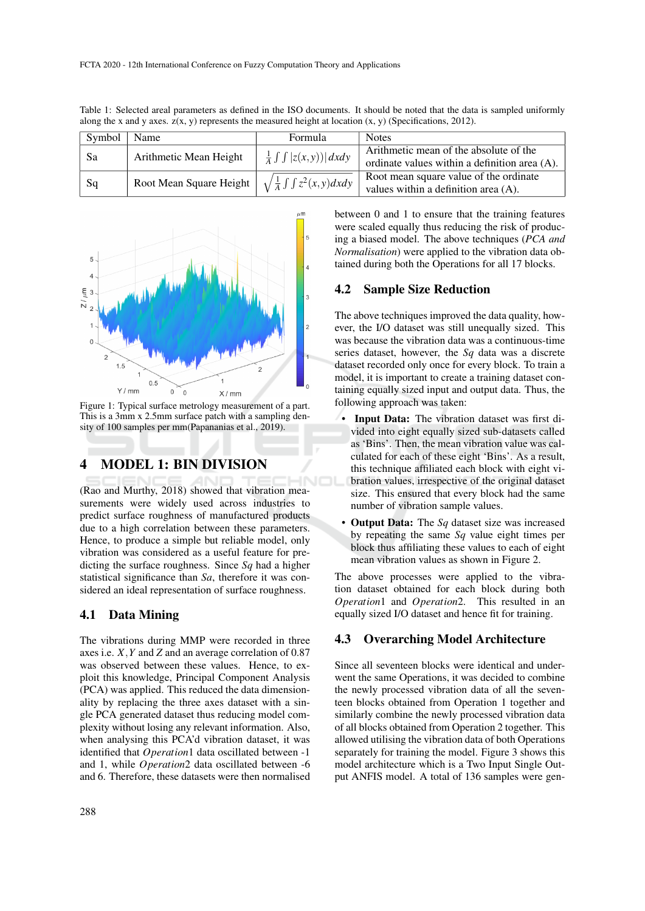| Symbol | Name                                                                        | <b>Formula</b>                         | <b>Notes</b>                                                                            |
|--------|-----------------------------------------------------------------------------|----------------------------------------|-----------------------------------------------------------------------------------------|
| -Sa    | Arithmetic Mean Height                                                      | $\frac{1}{4} \int \int  z(x,y)  dx dy$ | Arithmetic mean of the absolute of the<br>ordinate values within a definition area (A). |
| -Sq    | Root Mean Square Height $\int \sqrt{\frac{1}{4} \int \int z^2(x, y) dx dy}$ |                                        | Root mean square value of the ordinate<br>values within a definition area (A).          |

Table 1: Selected areal parameters as defined in the ISO documents. It should be noted that the data is sampled uniformly along the x and y axes.  $z(x, y)$  represents the measured height at location  $(x, y)$  (Specifications, 2012).



Figure 1: Typical surface metrology measurement of a part. This is a 3mm x 2.5mm surface patch with a sampling density of 100 samples per mm(Papananias et al., 2019).

### 4 MODEL 1: BIN DIVISION

(Rao and Murthy, 2018) showed that vibration measurements were widely used across industries to predict surface roughness of manufactured products due to a high correlation between these parameters. Hence, to produce a simple but reliable model, only vibration was considered as a useful feature for predicting the surface roughness. Since *Sq* had a higher statistical significance than *Sa*, therefore it was considered an ideal representation of surface roughness.

#### 4.1 Data Mining

The vibrations during MMP were recorded in three axes i.e. *X*,*Y* and *Z* and an average correlation of 0.87 was observed between these values. Hence, to exploit this knowledge, Principal Component Analysis (PCA) was applied. This reduced the data dimensionality by replacing the three axes dataset with a single PCA generated dataset thus reducing model complexity without losing any relevant information. Also, when analysing this PCA'd vibration dataset, it was identified that *Operation*1 data oscillated between -1 and 1, while *Operation*2 data oscillated between -6 and 6. Therefore, these datasets were then normalised between 0 and 1 to ensure that the training features were scaled equally thus reducing the risk of producing a biased model. The above techniques (*PCA and Normalisation*) were applied to the vibration data obtained during both the Operations for all 17 blocks.

#### 4.2 Sample Size Reduction

The above techniques improved the data quality, however, the I/O dataset was still unequally sized. This was because the vibration data was a continuous-time series dataset, however, the *Sq* data was a discrete dataset recorded only once for every block. To train a model, it is important to create a training dataset containing equally sized input and output data. Thus, the following approach was taken:

- Input Data: The vibration dataset was first divided into eight equally sized sub-datasets called as 'Bins'. Then, the mean vibration value was calculated for each of these eight 'Bins'. As a result, this technique affiliated each block with eight vibration values, irrespective of the original dataset size. This ensured that every block had the same number of vibration sample values.
- Output Data: The *Sq* dataset size was increased by repeating the same *Sq* value eight times per block thus affiliating these values to each of eight mean vibration values as shown in Figure 2.

The above processes were applied to the vibration dataset obtained for each block during both *Operation*1 and *Operation*2. This resulted in an equally sized I/O dataset and hence fit for training.

### 4.3 Overarching Model Architecture

Since all seventeen blocks were identical and underwent the same Operations, it was decided to combine the newly processed vibration data of all the seventeen blocks obtained from Operation 1 together and similarly combine the newly processed vibration data of all blocks obtained from Operation 2 together. This allowed utilising the vibration data of both Operations separately for training the model. Figure 3 shows this model architecture which is a Two Input Single Output ANFIS model. A total of 136 samples were gen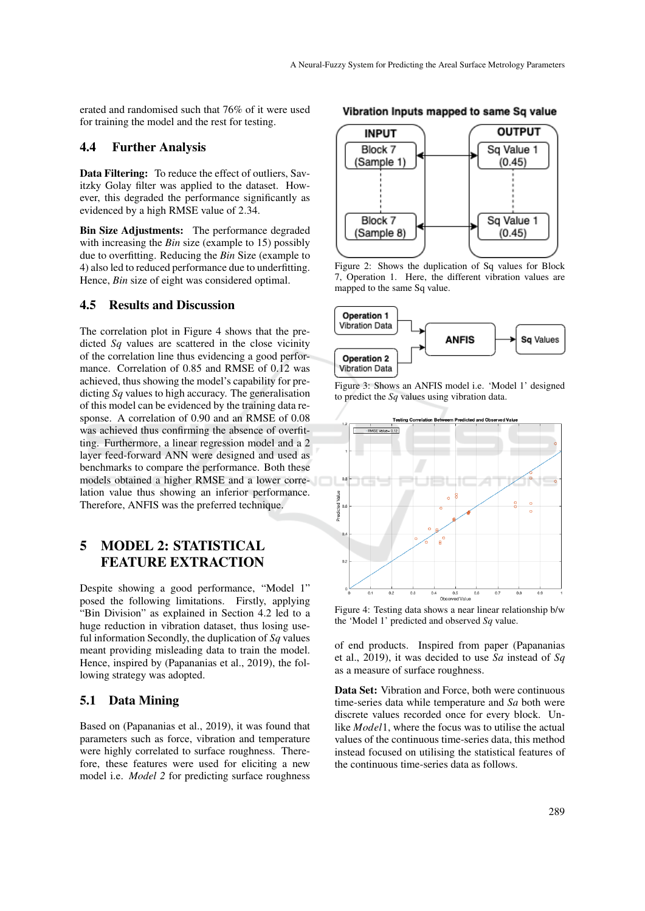erated and randomised such that 76% of it were used for training the model and the rest for testing.

#### 4.4 Further Analysis

Data Filtering: To reduce the effect of outliers, Savitzky Golay filter was applied to the dataset. However, this degraded the performance significantly as evidenced by a high RMSE value of 2.34.

Bin Size Adjustments: The performance degraded with increasing the *Bin* size (example to 15) possibly due to overfitting. Reducing the *Bin* Size (example to 4) also led to reduced performance due to underfitting. Hence, *Bin* size of eight was considered optimal.

#### 4.5 Results and Discussion

The correlation plot in Figure 4 shows that the predicted *Sq* values are scattered in the close vicinity of the correlation line thus evidencing a good performance. Correlation of 0.85 and RMSE of 0.12 was achieved, thus showing the model's capability for predicting *Sq* values to high accuracy. The generalisation of this model can be evidenced by the training data response. A correlation of 0.90 and an RMSE of 0.08 was achieved thus confirming the absence of overfitting. Furthermore, a linear regression model and a 2 layer feed-forward ANN were designed and used as benchmarks to compare the performance. Both these models obtained a higher RMSE and a lower correlation value thus showing an inferior performance. Therefore, ANFIS was the preferred technique.

## 5 MODEL 2: STATISTICAL FEATURE EXTRACTION

Despite showing a good performance, "Model 1" posed the following limitations. Firstly, applying "Bin Division" as explained in Section 4.2 led to a huge reduction in vibration dataset, thus losing useful information Secondly, the duplication of *Sq* values meant providing misleading data to train the model. Hence, inspired by (Papananias et al., 2019), the following strategy was adopted.

#### 5.1 Data Mining

Based on (Papananias et al., 2019), it was found that parameters such as force, vibration and temperature were highly correlated to surface roughness. Therefore, these features were used for eliciting a new model i.e. *Model 2* for predicting surface roughness



Figure 2: Shows the duplication of Sq values for Block 7, Operation 1. Here, the different vibration values are mapped to the same Sq value.



Figure 3: Shows an ANFIS model i.e. 'Model 1' designed to predict the *Sq* values using vibration data.



Figure 4: Testing data shows a near linear relationship b/w the 'Model 1' predicted and observed *Sq* value.

of end products. Inspired from paper (Papananias et al., 2019), it was decided to use *Sa* instead of *Sq* as a measure of surface roughness.

Data Set: Vibration and Force, both were continuous time-series data while temperature and *Sa* both were discrete values recorded once for every block. Unlike *Model*1, where the focus was to utilise the actual values of the continuous time-series data, this method instead focused on utilising the statistical features of the continuous time-series data as follows.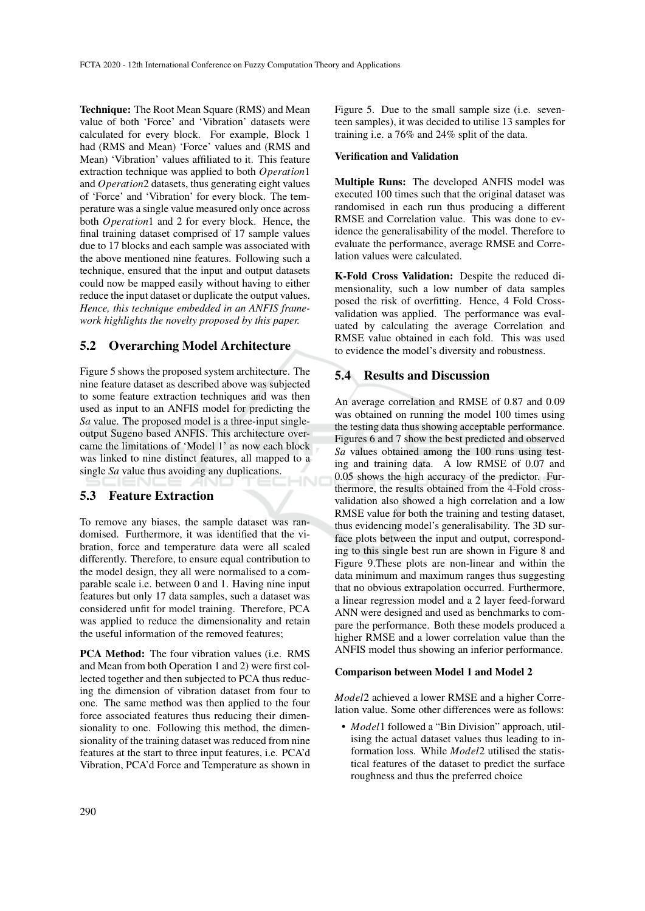Technique: The Root Mean Square (RMS) and Mean value of both 'Force' and 'Vibration' datasets were calculated for every block. For example, Block 1 had (RMS and Mean) 'Force' values and (RMS and Mean) 'Vibration' values affiliated to it. This feature extraction technique was applied to both *Operation*1 and *Operation*2 datasets, thus generating eight values of 'Force' and 'Vibration' for every block. The temperature was a single value measured only once across both *Operation*1 and 2 for every block. Hence, the final training dataset comprised of 17 sample values due to 17 blocks and each sample was associated with the above mentioned nine features. Following such a technique, ensured that the input and output datasets could now be mapped easily without having to either reduce the input dataset or duplicate the output values. *Hence, this technique embedded in an ANFIS framework highlights the novelty proposed by this paper.*

### 5.2 Overarching Model Architecture

Figure 5 shows the proposed system architecture. The nine feature dataset as described above was subjected to some feature extraction techniques and was then used as input to an ANFIS model for predicting the *Sa* value. The proposed model is a three-input singleoutput Sugeno based ANFIS. This architecture overcame the limitations of 'Model 1' as now each block was linked to nine distinct features, all mapped to a single *Sa* value thus avoiding any duplications.  $-NC$ 

### 5.3 Feature Extraction

To remove any biases, the sample dataset was randomised. Furthermore, it was identified that the vibration, force and temperature data were all scaled differently. Therefore, to ensure equal contribution to the model design, they all were normalised to a comparable scale i.e. between 0 and 1. Having nine input features but only 17 data samples, such a dataset was considered unfit for model training. Therefore, PCA was applied to reduce the dimensionality and retain the useful information of the removed features;

PCA Method: The four vibration values (i.e. RMS and Mean from both Operation 1 and 2) were first collected together and then subjected to PCA thus reducing the dimension of vibration dataset from four to one. The same method was then applied to the four force associated features thus reducing their dimensionality to one. Following this method, the dimensionality of the training dataset was reduced from nine features at the start to three input features, i.e. PCA'd Vibration, PCA'd Force and Temperature as shown in Figure 5. Due to the small sample size (i.e. seventeen samples), it was decided to utilise 13 samples for training i.e. a 76% and 24% split of the data.

#### Verification and Validation

Multiple Runs: The developed ANFIS model was executed 100 times such that the original dataset was randomised in each run thus producing a different RMSE and Correlation value. This was done to evidence the generalisability of the model. Therefore to evaluate the performance, average RMSE and Correlation values were calculated.

K-Fold Cross Validation: Despite the reduced dimensionality, such a low number of data samples posed the risk of overfitting. Hence, 4 Fold Crossvalidation was applied. The performance was evaluated by calculating the average Correlation and RMSE value obtained in each fold. This was used to evidence the model's diversity and robustness.

## 5.4 Results and Discussion

An average correlation and RMSE of 0.87 and 0.09 was obtained on running the model 100 times using the testing data thus showing acceptable performance. Figures 6 and 7 show the best predicted and observed *Sa* values obtained among the 100 runs using testing and training data. A low RMSE of 0.07 and 0.05 shows the high accuracy of the predictor. Furthermore, the results obtained from the 4-Fold crossvalidation also showed a high correlation and a low RMSE value for both the training and testing dataset, thus evidencing model's generalisability. The 3D surface plots between the input and output, corresponding to this single best run are shown in Figure 8 and Figure 9.These plots are non-linear and within the data minimum and maximum ranges thus suggesting that no obvious extrapolation occurred. Furthermore, a linear regression model and a 2 layer feed-forward ANN were designed and used as benchmarks to compare the performance. Both these models produced a higher RMSE and a lower correlation value than the ANFIS model thus showing an inferior performance.

#### Comparison between Model 1 and Model 2

*Model*2 achieved a lower RMSE and a higher Correlation value. Some other differences were as follows:

• *Model*1 followed a "Bin Division" approach, utilising the actual dataset values thus leading to information loss. While *Model*2 utilised the statistical features of the dataset to predict the surface roughness and thus the preferred choice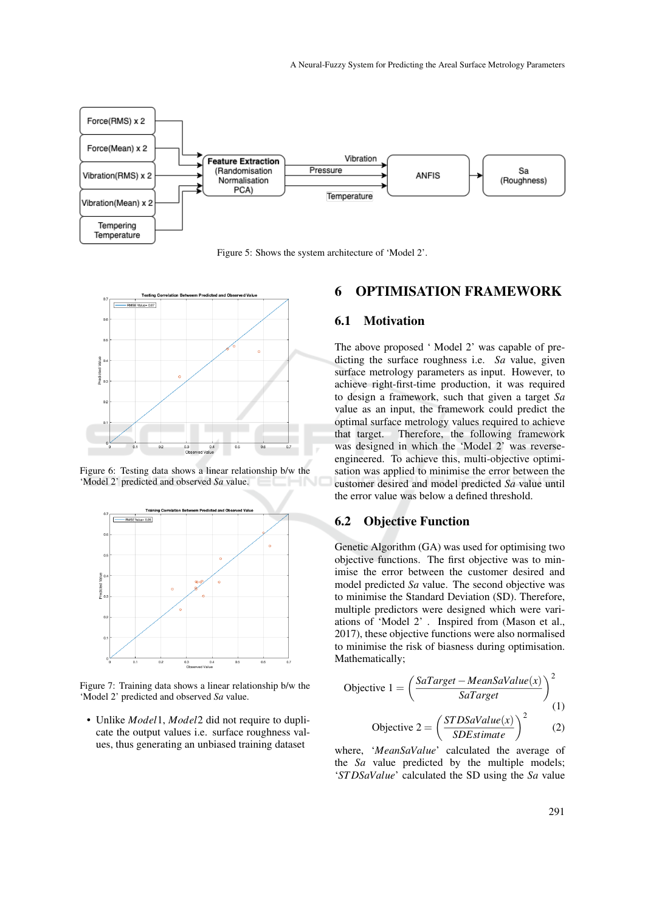

Figure 5: Shows the system architecture of 'Model 2'.



Figure 6: Testing data shows a linear relationship b/w the 'Model 2' predicted and observed *Sa* value.



Figure 7: Training data shows a linear relationship b/w the 'Model 2' predicted and observed *Sa* value.

• Unlike *Model*1, *Model*2 did not require to duplicate the output values i.e. surface roughness values, thus generating an unbiased training dataset

### 6 OPTIMISATION FRAMEWORK

#### 6.1 Motivation

The above proposed ' Model 2' was capable of predicting the surface roughness i.e. *Sa* value, given surface metrology parameters as input. However, to achieve right-first-time production, it was required to design a framework, such that given a target *Sa* value as an input, the framework could predict the optimal surface metrology values required to achieve that target. Therefore, the following framework was designed in which the 'Model 2' was reverseengineered. To achieve this, multi-objective optimisation was applied to minimise the error between the customer desired and model predicted *Sa* value until the error value was below a defined threshold.

#### 6.2 Objective Function

Genetic Algorithm (GA) was used for optimising two objective functions. The first objective was to minimise the error between the customer desired and model predicted *Sa* value. The second objective was to minimise the Standard Deviation (SD). Therefore, multiple predictors were designed which were variations of 'Model 2' . Inspired from (Mason et al., 2017), these objective functions were also normalised to minimise the risk of biasness during optimisation. Mathematically;

$$
\text{Objective 1} = \left(\frac{\text{SaTarget} - \text{MeanS} \text{aValue}(x)}{\text{S} \text{aTarget}}\right)^2 \tag{1}
$$
\n
$$
\text{Objective 2} = \left(\frac{\text{STDS} \text{aValue}(x)}{\text{S} \text{DEstimate}}\right)^2 \tag{2}
$$

where, '*MeanSaValue*' calculated the average of the *Sa* value predicted by the multiple models; '*ST DSaValue*' calculated the SD using the *Sa* value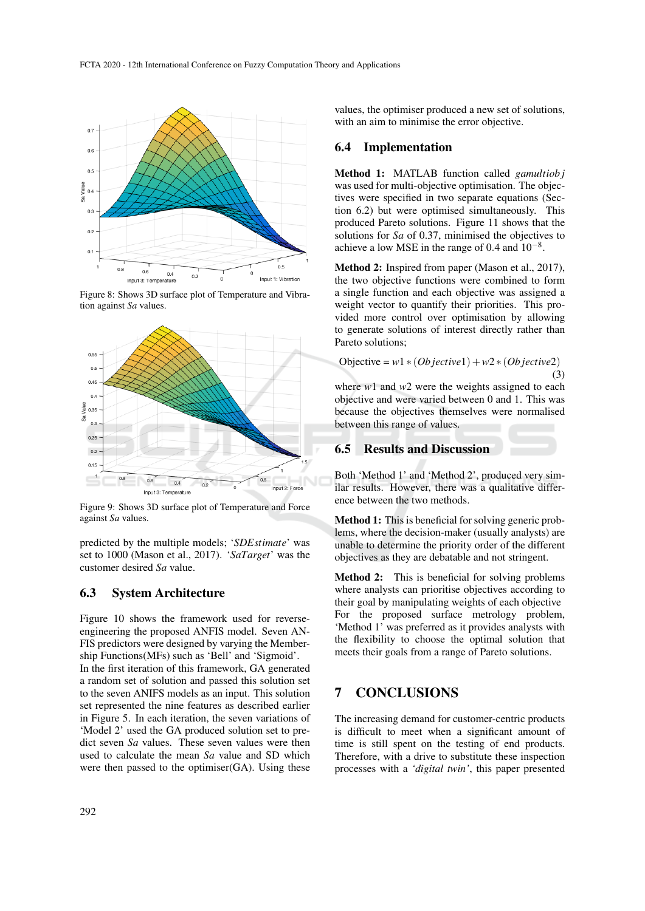

Figure 8: Shows 3D surface plot of Temperature and Vibration against *Sa* values.



Figure 9: Shows 3D surface plot of Temperature and Force against *Sa* values.

predicted by the multiple models; '*SDEstimate*' was set to 1000 (Mason et al., 2017). '*SaTarget*' was the customer desired *Sa* value.

#### 6.3 System Architecture

Figure 10 shows the framework used for reverseengineering the proposed ANFIS model. Seven AN-FIS predictors were designed by varying the Membership Functions(MFs) such as 'Bell' and 'Sigmoid'. In the first iteration of this framework, GA generated a random set of solution and passed this solution set to the seven ANIFS models as an input. This solution set represented the nine features as described earlier in Figure 5. In each iteration, the seven variations of

'Model 2' used the GA produced solution set to predict seven *Sa* values. These seven values were then used to calculate the mean *Sa* value and SD which were then passed to the optimiser(GA). Using these values, the optimiser produced a new set of solutions, with an aim to minimise the error objective.

#### 6.4 Implementation

Method 1: MATLAB function called *gamultiob j* was used for multi-objective optimisation. The objectives were specified in two separate equations (Section 6.2) but were optimised simultaneously. This produced Pareto solutions. Figure 11 shows that the solutions for *Sa* of 0.37, minimised the objectives to achieve a low MSE in the range of  $0.4$  and  $10^{-8}$ .

Method 2: Inspired from paper (Mason et al., 2017), the two objective functions were combined to form a single function and each objective was assigned a weight vector to quantify their priorities. This provided more control over optimisation by allowing to generate solutions of interest directly rather than Pareto solutions;

$$
Objective = w1 * (Objective1) + w2 * (Objective2)
$$
  
(3)

where *w*1 and *w*2 were the weights assigned to each objective and were varied between 0 and 1. This was because the objectives themselves were normalised between this range of values.

#### 6.5 Results and Discussion

Both 'Method 1' and 'Method 2', produced very similar results. However, there was a qualitative difference between the two methods.

Method 1: This is beneficial for solving generic problems, where the decision-maker (usually analysts) are unable to determine the priority order of the different objectives as they are debatable and not stringent.

Method 2: This is beneficial for solving problems where analysts can prioritise objectives according to their goal by manipulating weights of each objective For the proposed surface metrology problem, 'Method 1' was preferred as it provides analysts with the flexibility to choose the optimal solution that meets their goals from a range of Pareto solutions.

## 7 CONCLUSIONS

The increasing demand for customer-centric products is difficult to meet when a significant amount of time is still spent on the testing of end products. Therefore, with a drive to substitute these inspection processes with a *'digital twin'*, this paper presented